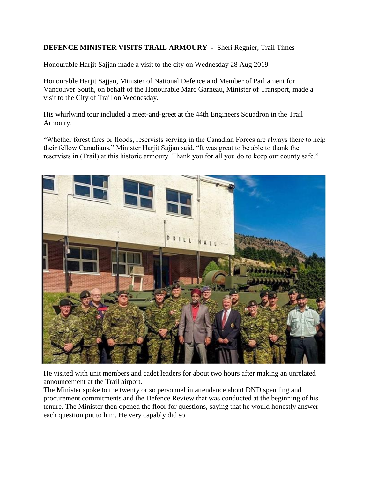## **DEFENCE MINISTER VISITS TRAIL ARMOURY** - Sheri Regnier, Trail Times

Honourable Harjit Sajjan made a visit to the city on Wednesday 28 Aug 2019

Honourable Harjit Sajjan, Minister of National Defence and Member of Parliament for Vancouver South, on behalf of the Honourable Marc Garneau, Minister of Transport, made a visit to the City of Trail on Wednesday.

His whirlwind tour included a meet-and-greet at the 44th Engineers Squadron in the Trail Armoury.

"Whether forest fires or floods, reservists serving in the Canadian Forces are always there to help their fellow Canadians," Minister Harjit Sajjan said. "It was great to be able to thank the reservists in (Trail) at this historic armoury. Thank you for all you do to keep our county safe."



He visited with unit members and cadet leaders for about two hours after making an unrelated announcement at the Trail airport.

The Minister spoke to the twenty or so personnel in attendance about DND spending and procurement commitments and the Defence Review that was conducted at the beginning of his tenure. The Minister then opened the floor for questions, saying that he would honestly answer each question put to him. He very capably did so.